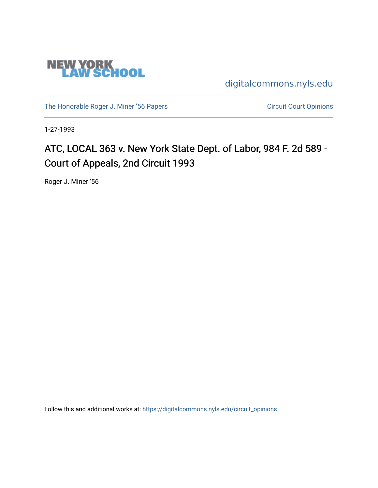

[digitalcommons.nyls.edu](https://digitalcommons.nyls.edu/) 

[The Honorable Roger J. Miner '56 Papers](https://digitalcommons.nyls.edu/miner_papers) Circuit Court Opinions

1-27-1993

# ATC, LOCAL 363 v. New York State Dept. of Labor, 984 F. 2d 589 -Court of Appeals, 2nd Circuit 1993

Roger J. Miner '56

Follow this and additional works at: [https://digitalcommons.nyls.edu/circuit\\_opinions](https://digitalcommons.nyls.edu/circuit_opinions?utm_source=digitalcommons.nyls.edu%2Fcircuit_opinions%2F376&utm_medium=PDF&utm_campaign=PDFCoverPages)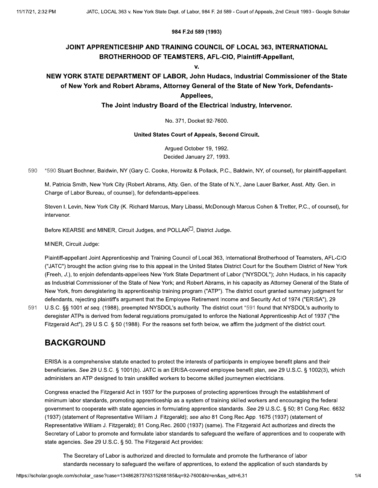#### 984 F.2d 589 (1993)

### JOINT APPRENTICESHIP AND TRAINING COUNCIL OF LOCAL 363, INTERNATIONAL **BROTHERHOOD OF TEAMSTERS, AFL-CIO, Plaintiff-Appellant,**

V.

### NEW YORK STATE DEPARTMENT OF LABOR, John Hudacs, Industrial Commissioner of the State of New York and Robert Abrams, Attorney General of the State of New York, Defendants-Appellees.

#### The Joint Industry Board of the Electrical Industry, Intervenor.

No. 371, Docket 92-7600.

#### United States Court of Appeals, Second Circuit.

Argued October 19, 1992. Decided January 27, 1993.

590 \*590 Stuart Bochner, Baldwin, NY (Gary C. Cooke, Horowitz & Pollack, P.C., Baldwin, NY, of counsel), for plaintiff-appellant.

M. Patricia Smith, New York City (Robert Abrams, Atty. Gen. of the State of N.Y., Jane Lauer Barker, Asst. Atty. Gen. in Charge of Labor Bureau, of counsel), for defendants-appellees.

Steven I. Levin, New York City (K. Richard Marcus, Mary Libassi, McDonough Marcus Cohen & Tretter, P.C., of counsel), for intervenor.

Before KEARSE and MINER, Circuit Judges, and POLLAK<sup>[\*]</sup>, District Judge.

MINER, Circuit Judge:

Plaintiff-appellant Joint Apprenticeship and Training Council of Local 363, International Brotherhood of Teamsters, AFL-CIO ("JATC") brought the action giving rise to this appeal in the United States District Court for the Southern District of New York (Freeh, J.), to enjoin defendants-appellees New York State Department of Labor ("NYSDOL"); John Hudacs, in his capacity as Industrial Commissioner of the State of New York; and Robert Abrams, in his capacity as Attorney General of the State of New York, from deregistering its apprenticeship training program ("ATP"). The district court granted summary judgment for defendants, rejecting plaintiff's argument that the Employee Retirement Income and Security Act of 1974 ("ERISA"), 29 U.S.C. §§ 1001 et seq. (1988), preempted NYSDOL's authority. The district court \*591 found that NYSDOL's authority to

591

deregister ATPs is derived from federal regulations promulgated to enforce the National Apprenticeship Act of 1937 ("the Fitzgerald Act"), 29 U.S.C. § 50 (1988). For the reasons set forth below, we affirm the judgment of the district court.

### **BACKGROUND**

ERISA is a comprehensive statute enacted to protect the interests of participants in employee benefit plans and their beneficiaries. See 29 U.S.C. § 1001(b). JATC is an ERISA-covered employee benefit plan, see 29 U.S.C. § 1002(3), which administers an ATP designed to train unskilled workers to become skilled journeymen electricians.

Congress enacted the Fitzgerald Act in 1937 for the purposes of protecting apprentices through the establishment of minimum labor standards, promoting apprenticeship as a system of training skilled workers and encouraging the federal government to cooperate with state agencies in formulating apprentice standards. See 29 U.S.C. § 50; 81 Cong.Rec. 6632 (1937) (statement of Representative William J. Fitzgerald); see also 81 Cong.Rec.App. 1675 (1937) (statement of Representative William J. Fitzgerald); 81 Cong.Rec. 2600 (1937) (same). The Fitzgerald Act authorizes and directs the Secretary of Labor to promote and formulate labor standards to safeguard the welfare of apprentices and to cooperate with state agencies. See 29 U.S.C. § 50. The Fitzgerald Act provides:

The Secretary of Labor is authorized and directed to formulate and promote the furtherance of labor standards necessary to safeguard the welfare of apprentices, to extend the application of such standards by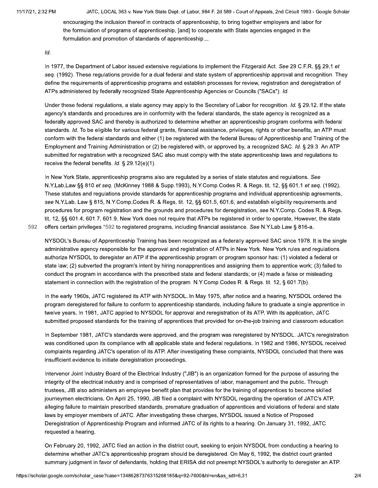JATC, LOCAL 363 v. New York State Dept. of Labor, 984 F. 2d 589 - Court of Appeals, 2nd Circuit 1993 - Google Scholar

encouraging the inclusion thereof in contracts of apprenticeship, to bring together employers and labor for the formulation of programs of apprenticeship, [and] to cooperate with State agencies engaged in the formulation and promotion of standards of apprenticeship....

#### Id.

In 1977, the Department of Labor issued extensive regulations to implement the Fitzgerald Act. See 29 C.F.R. §§ 29.1 et seq. (1992). These regulations provide for a dual federal and state system of apprenticeship approval and recognition. They define the requirements of apprenticeship programs and establish processes for review, registration and deregistration of ATPs administered by federally recognized State Apprenticeship Agencies or Councils ("SACs"). Id.

Under these federal regulations, a state agency may apply to the Secretary of Labor for recognition. Id. § 29.12. If the state agency's standards and procedures are in conformity with the federal standards, the state agency is recognized as a federally approved SAC and thereby is authorized to determine whether an apprenticeship program conforms with federal standards. Id. To be eligible for various federal grants, financial assistance, privileges, rights or other benefits, an ATP must conform with the federal standards and either (1) be registered with the federal Bureau of Apprenticeship and Training of the Employment and Training Administration or (2) be registered with, or approved by, a recognized SAC. Id. § 29.3. An ATP submitted for registration with a recognized SAC also must comply with the state apprenticeship laws and regulations to receive the federal benefits. Id. § 29.12(e)(1).

In New York State, apprenticeship programs also are regulated by a series of state statutes and regulations. See N.Y.Lab.Law §§ 810 et seg. (McKinney 1988 & Supp.1993), N.Y.Comp.Codes R. & Regs. tit. 12, §§ 601.1 et seg. (1992). These statutes and regulations provide standards for apprenticeship programs and individual apprenticeship agreements, see N.Y.Lab. Law § 815, N.Y.Comp.Codes R. & Regs. tit. 12, §§ 601.5, 601.6, and establish eligibility requirements and procedures for program registration and the grounds and procedures for deregistration, see N.Y.Comp. Codes R. & Regs. tit. 12, §§ 601.4, 601.7, 601.9. New York does not require that ATPs be registered in order to operate. However, the state offers certain privileges \*592 to registered programs, including financial assistance. See N.Y.Lab.Law § 816-a.

592

NYSDOL's Bureau of Apprenticeship Training has been recognized as a federally approved SAC since 1978. It is the single administrative agency responsible for the approval and registration of ATPs in New York. New York rules and regulations authorize NYSDOL to deregister an ATP if the apprenticeship program or program sponsor has: (1) violated a federal or state law; (2) subverted the program's intent by hiring nonapprentices and assigning them to apprentice work; (3) failed to conduct the program in accordance with the prescribed state and federal standards; or (4) made a false or misleading statement in connection with the registration of the program. N.Y.Comp.Codes R. & Regs. tit. 12, § 601.7(b).

In the early 1960s, JATC registered its ATP with NYSDOL. In May 1975, after notice and a hearing, NYSDOL ordered the program deregistered for failure to conform to apprenticeship standards, including failure to graduate a single apprentice in twelve years. In 1981, JATC applied to NYSDOL for approval and reregistration of its ATP. With its application, JATC submitted proposed standards for the training of apprentices that provided for on-the-job training and classroom education.

In September 1981, JATC's standards were approved, and the program was reregistered by NYSDOL. JATC's reregistration was conditioned upon its compliance with all applicable state and federal regulations. In 1982 and 1986, NYSDOL received complaints regarding JATC's operation of its ATP. After investigating these complaints, NYSDOL concluded that there was insufficient evidence to initiate deregistration proceedings.

Intervenor Joint Industry Board of the Electrical Industry ("JIB") is an organization formed for the purpose of assuring the integrity of the electrical industry and is comprised of representatives of labor, management and the public. Through trustees, JIB also administers an employee benefit plan that provides for the training of apprentices to become skilled journeymen electricians. On April 25, 1990, JIB filed a complaint with NYSDOL regarding the operation of JATC's ATP, alleging failure to maintain prescribed standards, premature graduation of apprentices and violations of federal and state laws by employer members of JATC. After investigating these charges, NYSDOL issued a Notice of Proposed Deregistration of Apprenticeship Program and informed JATC of its rights to a hearing. On January 31, 1992, JATC requested a hearing.

On February 20, 1992, JATC filed an action in the district court, seeking to enjoin NYSDOL from conducting a hearing to determine whether JATC's apprenticeship program should be deregistered. On May 6, 1992, the district court granted summary judgment in favor of defendants, holding that ERISA did not preempt NYSDOL's authority to deregister an ATP.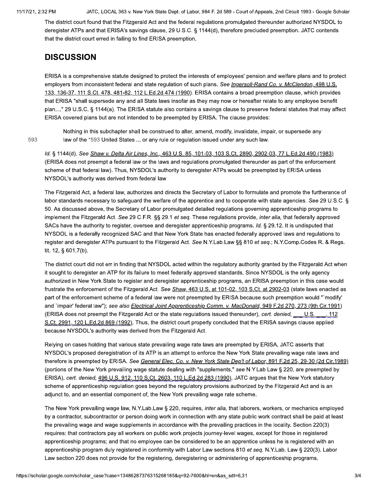JATC, LOCAL 363 v. New York State Dept. of Labor, 984 F. 2d 589 - Court of Appeals, 2nd Circuit 1993 - Google Scholar

The district court found that the Fitzgerald Act and the federal regulations promulgated thereunder authorized NYSDOL to deregister ATPs and that ERISA's savings clause, 29 U.S.C. § 1144(d), therefore precluded preemption. JATC contends that the district court erred in failing to find ERISA preemption.

# **DISCUSSION**

ERISA is a comprehensive statute designed to protect the interests of employees' pension and welfare plans and to protect employers from inconsistent federal and state regulation of such plans. See Ingersoll-Rand Co. v. McClendon, 498 U.S. 133, 136-37, 111 S.Ct. 478, 481-82, 112 L.Ed.2d 474 (1990). ERISA contains a broad preemption clause, which provides that ERISA "shall supersede any and all State laws insofar as they may now or hereafter relate to any employee benefit plan...." 29 U.S.C. § 1144(a). The ERISA statute also contains a savings clause to preserve federal statutes that may affect ERISA covered plans but are not intended to be preempted by ERISA. The clause provides:

593

Nothing in this subchapter shall be construed to alter, amend, modify, invalidate, impair, or supersede any law of the \*593 United States ... or any rule or regulation issued under any such law.

Id. § 1144(d). See Shaw v. Delta Air Lines, Inc., 463 U.S. 85, 101-03, 103 S.Ct. 2890, 2902-03, 77 L.Ed.2d 490 (1983) (ERISA does not preempt a federal law or the laws and regulations promulgated thereunder as part of the enforcement scheme of that federal law). Thus, NYSDOL's authority to deregister ATPs would be preempted by ERISA unless NYSDOL's authority was derived from federal law.

The Fitzgerald Act, a federal law, authorizes and directs the Secretary of Labor to formulate and promote the furtherance of labor standards necessary to safeguard the welfare of the apprentice and to cooperate with state agencies. See 29 U.S.C. § 50. As discussed above, the Secretary of Labor promulgated detailed regulations governing apprenticeship programs to implement the Fitzgerald Act. See 29 C.F.R. §§ 29.1 et seq. These regulations provide, inter alia, that federally approved SACs have the authority to register, oversee and deregister apprenticeship programs. Id. § 29.12. It is undisputed that NYSDOL is a federally recognized SAC and that New York State has enacted federally approved laws and regulations to register and deregister ATPs pursuant to the Fitzgerald Act. See N.Y.Lab.Law §§ 810 et seq.; N.Y.Comp.Codes R. & Regs. tit. 12, § 601.7(b).

The district court did not err in finding that NYSDOL acted within the regulatory authority granted by the Fitzgerald Act when it sought to deregister an ATP for its failure to meet federally approved standards. Since NYSDOL is the only agency authorized in New York State to register and deregister apprenticeship programs, an ERISA preemption in this case would frustrate the enforcement of the Fitzgerald Act. See Shaw, 463 U.S. at 101-02, 103 S.Ct. at 2902-03 (state laws enacted as part of the enforcement scheme of a federal law were not preempted by ERISA because such preemption would "`modify' and `impair' federal law"); see also Electrical Joint Apprenticeship Comm. v. MacDonald, 949 F.2d 270, 273 (9th Cir.1991) (ERISA does not preempt the Fitzgerald Act or the state regulations issued thereunder), cert. denied, \_\_\_\_ U.S. 112 S.Ct. 2991, 120 L.Ed.2d 869 (1992). Thus, the district court properly concluded that the ERISA savings clause applied because NYSDOL's authority was derived from the Fitzgerald Act.

Relying on cases holding that various state prevailing wage rate laws are preempted by ERISA, JATC asserts that NYSDOL's proposed deregistration of its ATP is an attempt to enforce the New York State prevailing wage rate laws and therefore is preempted by ERISA. See General Elec. Co. v. New York State Dep't of Labor, 891 F.2d 25, 29-30 (2d Cir.1989) (portions of the New York prevailing wage statute dealing with "supplements," see N.Y.Lab.Law § 220, are preempted by ERISA), cert. denied, 496 U.S. 912, 110 S.Ct. 2603, 110 L.Ed.2d 283 (1990). JATC argues that the New York statutory scheme of apprenticeship regulation goes beyond the regulatory provisions authorized by the Fitzgerald Act and is an adjunct to, and an essential component of, the New York prevailing wage rate scheme.

The New York prevailing wage law, N.Y.Lab.Law § 220, requires, *inter alia*, that laborers, workers, or mechanics employed by a contractor, subcontractor or person doing work in connection with any state public work contract shall be paid at least the prevailing wage and wage supplements in accordance with the prevailing practices in the locality. Section 220(3) requires: that contractors pay all workers on public work projects journey-level wages, except for those in registered apprenticeship programs; and that no employee can be considered to be an apprentice unless he is registered with an apprenticeship program duly registered in conformity with Labor Law sections 810 et seq. N.Y.Lab. Law § 220(3). Labor Law section 220 does not provide for the registering, deregistering or administering of apprenticeship programs.